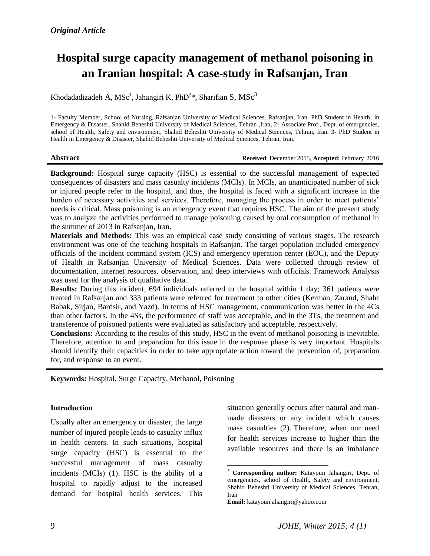# **Hospital surge capacity management of methanol poisoning in an Iranian hospital: A case-study in Rafsanjan, Iran**

Khodadadizadeh A, MSc<sup>1</sup>, Jahangiri K, PhD<sup>2\*</sup>, Sharifian S, MSc<sup>3</sup>

1- Faculty Member, School of Nursing, Rafsanjan University of Medical Sciences, Rafsanjan, Iran. PhD Student in Health in Emergency & Disaster, Shahid Beheshti University of Medical Sciences, Tehran ,Iran, 2- Associate Prof., Dept. of emergencies, school of Health, Safety and environment, Shahid Beheshti University of Medical Sciences, Tehran, Iran. 3- PhD Student in Health in Emergency & Disaster, Shahid Beheshti University of Medical Sciences, Tehran, Iran.

**Abstract Received**: December 2015, **Accepted**: February 2016

**Background:** Hospital surge capacity (HSC) is essential to the successful management of expected consequences of disasters and mass casualty incidents (MCIs). In MCIs, an unanticipated number of sick or injured people refer to the hospital, and thus, the hospital is faced with a significant increase in the burden of necessary activities and services. Therefore, managing the process in order to meet patients' needs is critical. Mass poisoning is an emergency event that requires HSC. The aim of the present study was to analyze the activities performed to manage poisoning caused by oral consumption of methanol in the summer of 2013 in Rafsanjan, Iran.

**Materials and Methods:** This was an empirical case study consisting of various stages. The research environment was one of the teaching hospitals in Rafsanjan. The target population included emergency officials of the incident command system (ICS) and emergency operation center (EOC), and the Deputy of Health in Rafsanjan University of Medical Sciences. Data were collected through review of documentation, internet resources, observation, and deep interviews with officials. Framework Analysis was used for the analysis of qualitative data.

**Results:** During this incident, 694 individuals referred to the hospital within 1 day; 361 patients were treated in Rafsanjan and 333 patients were referred for treatment to other cities (Kerman, Zarand, Shahr Babak, Sirjan, Bardsir, and Yazd). In terms of HSC management, communication was better in the 4Cs than other factors. In the 4Ss, the performance of staff was acceptable, and in the 3Ts, the treatment and transference of poisoned patients were evaluated as satisfactory and acceptable, respectively.

**Conclusions:** According to the results of this study, HSC in the event of methanol poisoning is inevitable. Therefore, attention to and preparation for this issue in the response phase is very important. Hospitals should identify their capacities in order to take appropriate action toward the prevention of, preparation for, and response to an event.

l

**Keywords:** Hospital, Surge Capacity, Methanol, Poisoning

### **Introduction**

Usually after an emergency or disaster, the large number of injured people leads to casualty influx in health centers. In such situations, hospital surge capacity (HSC) is essential to the successful management of mass casualty incidents (MCIs) (1). HSC is the ability of a hospital to rapidly adjust to the increased demand for hospital health services. This

situation generally occurs after natural and manmade disasters or any incident which causes mass casualties (2). Therefore, when our need for health services increase to higher than the available resources and there is an imbalance

*<sup>\*</sup>* **Corresponding author:** Katayoun Jahangiri, Dept. of emergencies, school of Health, Safety and environment, Shahid Beheshti University of Medical Sciences, Tehran, Iran

**Email:** katayounjahangiri@yahoo.com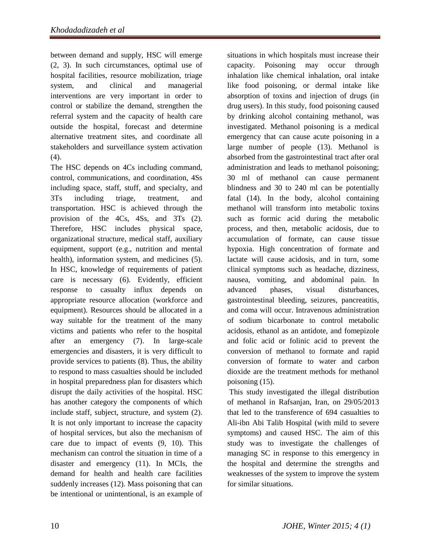between demand and supply, HSC will emerge (2, 3). In such circumstances, optimal use of hospital facilities, resource mobilization, triage system, and clinical and managerial interventions are very important in order to control or stabilize the demand, strengthen the referral system and the capacity of health care outside the hospital, forecast and determine alternative treatment sites, and coordinate all stakeholders and surveillance system activation (4).

The HSC depends on 4Cs including command, control, communications, and coordination, 4Ss including space, staff, stuff, and specialty, and 3Ts including triage, treatment, and transportation. HSC is achieved through the provision of the 4Cs, 4Ss, and 3Ts (2). Therefore, HSC includes physical space, organizational structure, medical staff, auxiliary equipment, support (e.g., nutrition and mental health), information system, and medicines (5). In HSC, knowledge of requirements of patient care is necessary (6). Evidently, efficient response to casualty influx depends on appropriate resource allocation (workforce and equipment). Resources should be allocated in a way suitable for the treatment of the many victims and patients who refer to the hospital after an emergency (7). In large-scale emergencies and disasters, it is very difficult to provide services to patients (8). Thus, the ability to respond to mass casualties should be included in hospital preparedness plan for disasters which disrupt the daily activities of the hospital. HSC has another category the components of which include staff, subject, structure, and system (2). It is not only important to increase the capacity of hospital services, but also the mechanism of care due to impact of events (9, 10). This mechanism can control the situation in time of a disaster and emergency (11). In MCIs, the demand for health and health care facilities suddenly increases (12). Mass poisoning that can be intentional or unintentional, is an example of

situations in which hospitals must increase their capacity. Poisoning may occur through inhalation like chemical inhalation, oral intake like food poisoning, or dermal intake like absorption of toxins and injection of drugs (in drug users). In this study, food poisoning caused by drinking alcohol containing methanol, was investigated. Methanol poisoning is a medical emergency that can cause acute poisoning in a large number of people (13). Methanol is absorbed from the gastrointestinal tract after oral administration and leads to methanol poisoning; 30 ml of methanol can cause permanent blindness and 30 to 240 ml can be potentially fatal (14). In the body, alcohol containing methanol will transform into metabolic toxins such as formic acid during the metabolic process, and then, metabolic acidosis, due to accumulation of formate, can cause tissue hypoxia. High concentration of formate and lactate will cause acidosis, and in turn, some clinical symptoms such as headache, dizziness, nausea, vomiting, and abdominal pain. In advanced phases, visual disturbances, gastrointestinal bleeding, seizures, pancreatitis, and coma will occur. Intravenous administration of sodium bicarbonate to control metabolic acidosis, ethanol as an antidote, and fomepizole and folic acid or folinic acid to prevent the conversion of methanol to formate and rapid conversion of formate to water and carbon dioxide are the treatment methods for methanol poisoning (15).

This study investigated the illegal distribution of methanol in Rafsanjan, Iran, on 29/05/2013 that led to the transference of 694 casualties to Ali-ibn Abi Talib Hospital (with mild to severe symptoms) and caused HSC. The aim of this study was to investigate the challenges of managing SC in response to this emergency in the hospital and determine the strengths and weaknesses of the system to improve the system for similar situations.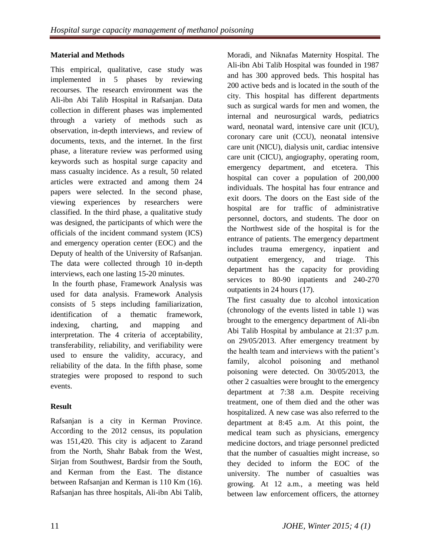# **Material and Methods**

This empirical, qualitative, case study was implemented in 5 phases by reviewing recourses. The research environment was the Ali-ibn Abi Talib Hospital in Rafsanjan. Data collection in different phases was implemented through a variety of methods such as observation, in-depth interviews, and review of documents, texts, and the internet. In the first phase, a literature review was performed using keywords such as hospital surge capacity and mass casualty incidence. As a result, 50 related articles were extracted and among them 24 papers were selected. In the second phase, viewing experiences by researchers were classified. In the third phase, a qualitative study was designed, the participants of which were the officials of the incident command system (ICS) and emergency operation center (EOC) and the Deputy of health of the University of Rafsanjan. The data were collected through 10 in-depth interviews, each one lasting 15-20 minutes.

In the fourth phase, Framework Analysis was used for data analysis. Framework Analysis consists of 5 steps including familiarization, identification of a thematic framework, indexing, charting, and mapping and interpretation. The 4 criteria of acceptability, transferability, reliability, and verifiability were used to ensure the validity, accuracy, and reliability of the data. In the fifth phase, some strategies were proposed to respond to such events.

# **Result**

Rafsanjan is a city in Kerman Province. According to the 2012 census, its population was 151,420. This city is adjacent to Zarand from the North, Shahr Babak from the West, Sirjan from Southwest, Bardsir from the South, and Kerman from the East. The distance between Rafsanjan and Kerman is 110 Km (16). Rafsanjan has three hospitals, Ali-ibn Abi Talib,

Moradi, and Niknafas Maternity Hospital. The Ali-ibn Abi Talib Hospital was founded in 1987 and has 300 approved beds. This hospital has 200 active beds and is located in the south of the city. This hospital has different departments such as surgical wards for men and women, the internal and neurosurgical wards, pediatrics ward, neonatal ward, intensive care unit (ICU), coronary care unit (CCU), neonatal intensive care unit (NICU), dialysis unit, cardiac intensive care unit (CICU), angiography, operating room, emergency department, and etcetera. This hospital can cover a population of 200,000 individuals. The hospital has four entrance and exit doors. The doors on the East side of the hospital are for traffic of administrative personnel, doctors, and students. The door on the Northwest side of the hospital is for the entrance of patients. The emergency department includes trauma emergency, inpatient and outpatient emergency, and triage. This department has the capacity for providing services to 80-90 inpatients and 240-270 outpatients in 24 hours (17).

The first casualty due to alcohol intoxication (chronology of the events listed in table 1) was brought to the emergency department of Ali-ibn Abi Talib Hospital by ambulance at 21:37 p.m. on 29/05/2013. After emergency treatment by the health team and interviews with the patient's family, alcohol poisoning and methanol poisoning were detected. On 30/05/2013, the other 2 casualties were brought to the emergency department at 7:38 a.m. Despite receiving treatment, one of them died and the other was hospitalized. A new case was also referred to the department at 8:45 a.m. At this point, the medical team such as physicians, emergency medicine doctors, and triage personnel predicted that the number of casualties might increase, so they decided to inform the EOC of the university. The number of casualties was growing. At 12 a.m., a meeting was held between law enforcement officers, the attorney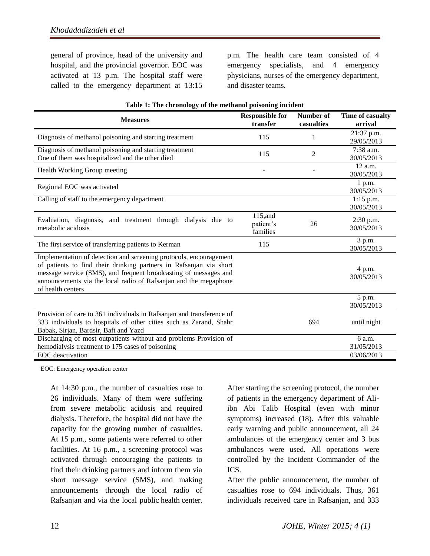general of province, head of the university and hospital, and the provincial governor. EOC was activated at 13 p.m. The hospital staff were called to the emergency department at 13:15

p.m. The health care team consisted of 4 emergency specialists, and 4 emergency physicians, nurses of the emergency department, and disaster teams.

| <b>Measures</b>                                                                                                                                                                                                                                                                                       | <b>Responsible for</b><br>transfer | Number of<br>casualties | Time of casualty<br>arrival |
|-------------------------------------------------------------------------------------------------------------------------------------------------------------------------------------------------------------------------------------------------------------------------------------------------------|------------------------------------|-------------------------|-----------------------------|
| Diagnosis of methanol poisoning and starting treatment                                                                                                                                                                                                                                                | 115                                | 1                       | 21:37 p.m.<br>29/05/2013    |
| Diagnosis of methanol poisoning and starting treatment<br>One of them was hospitalized and the other died                                                                                                                                                                                             | 115                                | $\overline{2}$          | 7:38 a.m.<br>30/05/2013     |
| Health Working Group meeting                                                                                                                                                                                                                                                                          |                                    |                         | $12$ a.m.<br>30/05/2013     |
| Regional EOC was activated                                                                                                                                                                                                                                                                            |                                    |                         | 1 p.m.<br>30/05/2013        |
| Calling of staff to the emergency department                                                                                                                                                                                                                                                          |                                    |                         | $1:15$ p.m.<br>30/05/2013   |
| Evaluation, diagnosis, and treatment through dialysis due to<br>metabolic acidosis                                                                                                                                                                                                                    | 115,and<br>patient's<br>families   | 26                      | 2:30 p.m.<br>30/05/2013     |
| The first service of transferring patients to Kerman                                                                                                                                                                                                                                                  | 115                                |                         | 3 p.m.<br>30/05/2013        |
| Implementation of detection and screening protocols, encouragement<br>of patients to find their drinking partners in Rafsanjan via short<br>message service (SMS), and frequent broadcasting of messages and<br>announcements via the local radio of Rafsanjan and the megaphone<br>of health centers |                                    |                         | 4 p.m.<br>30/05/2013        |
|                                                                                                                                                                                                                                                                                                       |                                    |                         | 5 p.m.<br>30/05/2013        |
| Provision of care to 361 individuals in Rafsanjan and transference of<br>333 individuals to hospitals of other cities such as Zarand, Shahr<br>Babak, Sirjan, Bardsir, Baft and Yazd                                                                                                                  |                                    | 694                     | until night                 |
| Discharging of most outpatients without and problems Provision of                                                                                                                                                                                                                                     |                                    |                         | 6 a.m.                      |
| hemodialysis treatment to 175 cases of poisoning<br>EOC deactivation                                                                                                                                                                                                                                  |                                    |                         | 31/05/2013<br>03/06/2013    |

|  |  |  | Table 1: The chronology of the methanol poisoning incident |  |
|--|--|--|------------------------------------------------------------|--|
|  |  |  |                                                            |  |
|  |  |  |                                                            |  |
|  |  |  |                                                            |  |

EOC: Emergency operation center

At 14:30 p.m., the number of casualties rose to 26 individuals. Many of them were suffering from severe metabolic acidosis and required dialysis. Therefore, the hospital did not have the capacity for the growing number of casualties. At 15 p.m., some patients were referred to other facilities. At 16 p.m., a screening protocol was activated through encouraging the patients to find their drinking partners and inform them via short message service (SMS), and making announcements through the local radio of Rafsanjan and via the local public health center.

After starting the screening protocol, the number of patients in the emergency department of Aliibn Abi Talib Hospital (even with minor symptoms) increased (18). After this valuable early warning and public announcement, all 24 ambulances of the emergency center and 3 bus ambulances were used. All operations were controlled by the Incident Commander of the ICS.

After the public announcement, the number of casualties rose to 694 individuals. Thus, 361 individuals received care in Rafsanjan, and 333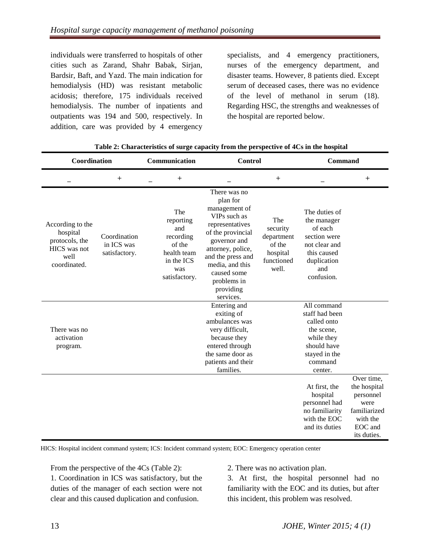individuals were transferred to hospitals of other cities such as Zarand, Shahr Babak, Sirjan, Bardsir, Baft, and Yazd. The main indication for hemodialysis (HD) was resistant metabolic acidosis; therefore, 175 individuals received hemodialysis. The number of inpatients and outpatients was 194 and 500, respectively. In addition, care was provided by 4 emergency

specialists, and 4 emergency practitioners, nurses of the emergency department, and disaster teams. However, 8 patients died. Except serum of deceased cases, there was no evidence of the level of methanol in serum (18). Regarding HSC, the strengths and weaknesses of the hospital are reported below.

| Coordination                                                                           |                                             | Communication                                                                                       |                                                                                                                                                                                                                                        | Control                                                                    |                                                                                                                                | Command                                                                                               |  |  |
|----------------------------------------------------------------------------------------|---------------------------------------------|-----------------------------------------------------------------------------------------------------|----------------------------------------------------------------------------------------------------------------------------------------------------------------------------------------------------------------------------------------|----------------------------------------------------------------------------|--------------------------------------------------------------------------------------------------------------------------------|-------------------------------------------------------------------------------------------------------|--|--|
|                                                                                        | $^{+}$                                      | $^{+}$                                                                                              |                                                                                                                                                                                                                                        | $^{+}$                                                                     |                                                                                                                                | $^{+}$                                                                                                |  |  |
| According to the<br>hospital<br>protocols, the<br>HICS was not<br>well<br>coordinated. | Coordination<br>in ICS was<br>satisfactory. | The<br>reporting<br>and<br>recording<br>of the<br>health team<br>in the ICS<br>was<br>satisfactory. | There was no<br>plan for<br>management of<br>VIPs such as<br>representatives<br>of the provincial<br>governor and<br>attorney, police,<br>and the press and<br>media, and this<br>caused some<br>problems in<br>providing<br>services. | The<br>security<br>department<br>of the<br>hospital<br>functioned<br>well. | The duties of<br>the manager<br>of each<br>section were<br>not clear and<br>this caused<br>duplication<br>and<br>confusion.    |                                                                                                       |  |  |
| There was no<br>activation<br>program.                                                 |                                             |                                                                                                     | Entering and<br>exiting of<br>ambulances was<br>very difficult,<br>because they<br>entered through<br>the same door as<br>patients and their<br>families.                                                                              |                                                                            | All command<br>staff had been<br>called onto<br>the scene,<br>while they<br>should have<br>stayed in the<br>command<br>center. |                                                                                                       |  |  |
|                                                                                        |                                             |                                                                                                     |                                                                                                                                                                                                                                        |                                                                            | At first, the<br>hospital<br>personnel had<br>no familiarity<br>with the EOC<br>and its duties                                 | Over time,<br>the hospital<br>personnel<br>were<br>familiarized<br>with the<br>EOC and<br>its duties. |  |  |

| Table 2: Characteristics of surge capacity from the perspective of 4Cs in the hospital |  |  |  |
|----------------------------------------------------------------------------------------|--|--|--|
|                                                                                        |  |  |  |

HICS: Hospital incident command system; ICS: Incident command system; EOC: Emergency operation center

From the perspective of the 4Cs (Table 2):

1. Coordination in ICS was satisfactory, but the duties of the manager of each section were not clear and this caused duplication and confusion.

2. There was no activation plan.

3. At first, the hospital personnel had no familiarity with the EOC and its duties, but after this incident, this problem was resolved.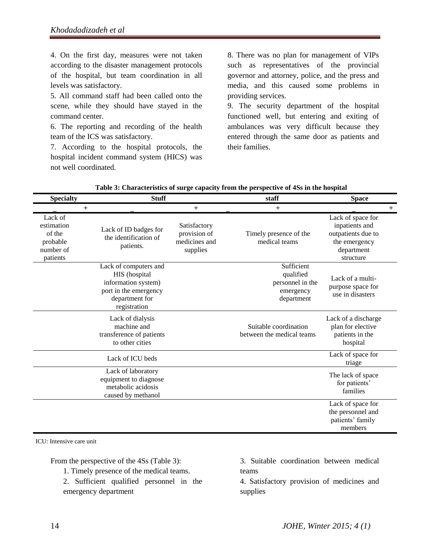4. On the first day, measures were not taken according to the disaster management protocols of the hospital, but team coordination in all levels was satisfactory.

5. All command staff had been called onto the scene, while they should have stayed in the command center.

6. The reporting and recording of the health team of the ICS was satisfactory.

7. According to the hospital protocols, the hospital incident command system (HICS) was not well coordinated.

8. There was no plan for management of VIPs such as representatives of the provincial governor and attorney, police, and the press and media, and this caused some problems in providing services.

9. The security department of the hospital functioned well, but entering and exiting of ambulances was very difficult because they entered through the same door as patients and their families.

| <b>Specialty</b>                                                     | <b>Stuff</b>                                                                                                             |                                                           | staff                                                                  | <b>Space</b>                                                                                          |        |
|----------------------------------------------------------------------|--------------------------------------------------------------------------------------------------------------------------|-----------------------------------------------------------|------------------------------------------------------------------------|-------------------------------------------------------------------------------------------------------|--------|
| $\pm$                                                                |                                                                                                                          | $^{+}$                                                    | $\mathrm{+}$                                                           |                                                                                                       | $^{+}$ |
| Lack of<br>estimation<br>of the<br>probable<br>number of<br>patients | Lack of ID badges for<br>the identification of<br>patients.                                                              | Satisfactory<br>provision of<br>medicines and<br>supplies | Timely presence of the<br>medical teams                                | Lack of space for<br>inpatients and<br>outpatients due to<br>the emergency<br>department<br>structure |        |
|                                                                      | Lack of computers and<br>HIS (hospital<br>information system)<br>port in the emergency<br>department for<br>registration |                                                           | Sufficient<br>qualified<br>personnel in the<br>emergency<br>department | Lack of a multi-<br>purpose space for<br>use in disasters                                             |        |
|                                                                      | Lack of dialysis<br>machine and<br>transference of patients<br>to other cities                                           |                                                           | Suitable coordination<br>between the medical teams                     | Lack of a discharge<br>plan for elective<br>patients in the<br>hospital                               |        |
|                                                                      | Lack of ICU beds                                                                                                         |                                                           |                                                                        | Lack of space for<br>triage                                                                           |        |
|                                                                      | Lack of laboratory<br>equipment to diagnose<br>metabolic acidosis<br>caused by methanol                                  |                                                           |                                                                        | The lack of space<br>for patients'<br>families                                                        |        |
|                                                                      |                                                                                                                          |                                                           |                                                                        | Lack of space for<br>the personnel and<br>patients' family<br>members                                 |        |

| Table 3: Characteristics of surge capacity from the perspective of 4Ss in the hospital |  |
|----------------------------------------------------------------------------------------|--|
|----------------------------------------------------------------------------------------|--|

ICU: Intensive care unit

From the perspective of the 4Ss (Table 3):

1. Timely presence of the medical teams.

2. Sufficient qualified personnel in the emergency department

3. Suitable coordination between medical teams

4. Satisfactory provision of medicines and supplies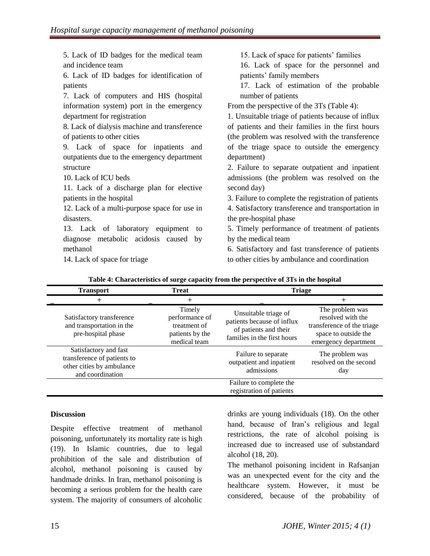| 5. Lack of ID badges for the medical team    | 15. Lack of space for patients' families            |
|----------------------------------------------|-----------------------------------------------------|
| and incidence team                           | 16. Lack of space for the personnel and             |
| 6. Lack of ID badges for identification of   | patients' family members                            |
| patients                                     | 17. Lack of estimation of the probable              |
| 7. Lack of computers and HIS (hospital       | number of patients                                  |
| information system) port in the emergency    | From the perspective of the 3Ts (Table 4):          |
| department for registration                  | 1. Unsuitable triage of patients because of influx  |
| 8. Lack of dialysis machine and transference | of patients and their families in the first hours   |
| of patients to other cities                  | (the problem was resolved with the transference     |
| 9. Lack of space for inpatients and          | of the triage space to outside the emergency        |
| outpatients due to the emergency department  | department)                                         |
| structure                                    | 2. Failure to separate outpatient and inpatient     |
| 10. Lack of ICU beds                         | admissions (the problem was resolved on the         |
| 11. Lack of a discharge plan for elective    | second day)                                         |
| patients in the hospital                     | 3. Failure to complete the registration of patients |
| 12. Lack of a multi-purpose space for use in | 4. Satisfactory transference and transportation in  |
| disasters.                                   | the pre-hospital phase                              |
| 13. Lack of laboratory equipment to          | 5. Timely performance of treatment of patients      |
| diagnose metabolic acidosis caused by        | by the medical team                                 |
| methanol                                     | 6. Satisfactory and fast transference of patients   |
| 14. Lack of space for triage                 | to other cities by ambulance and coordination       |

| <b>Transport</b>                                                                                      | <b>Treat</b>                                                                | <b>Triage</b>                                                                                              |                                                                                                                    |
|-------------------------------------------------------------------------------------------------------|-----------------------------------------------------------------------------|------------------------------------------------------------------------------------------------------------|--------------------------------------------------------------------------------------------------------------------|
|                                                                                                       |                                                                             |                                                                                                            |                                                                                                                    |
| Satisfactory transference<br>and transportation in the<br>pre-hospital phase                          | Timely<br>performance of<br>treatment of<br>patients by the<br>medical team | Unsuitable triage of<br>patients because of influx<br>of patients and their<br>families in the first hours | The problem was<br>resolved with the<br>transference of the triage<br>space to outside the<br>emergency department |
| Satisfactory and fast<br>transference of patients to<br>other cities by ambulance<br>and coordination |                                                                             | Failure to separate<br>outpatient and inpatient<br>admissions                                              | The problem was<br>resolved on the second<br>day                                                                   |
|                                                                                                       |                                                                             | Failure to complete the<br>registration of patients                                                        |                                                                                                                    |

**Table 4: Characteristics of surge capacity from the perspective of 3Ts in the hospital**

#### **Discussion**

Despite effective treatment of methanol poisoning, unfortunately its mortality rate is high (19). In Islamic countries, due to legal prohibition of the sale and distribution of alcohol, methanol poisoning is caused by handmade drinks. In Iran, methanol poisoning is becoming a serious problem for the health care system. The majority of consumers of alcoholic

drinks are young individuals (18). On the other hand, because of Iran's religious and legal restrictions, the rate of alcohol poising is increased due to increased use of substandard alcohol (18, 20).

The methanol poisoning incident in Rafsanjan was an unexpected event for the city and the healthcare system. However, it must be considered, because of the probability of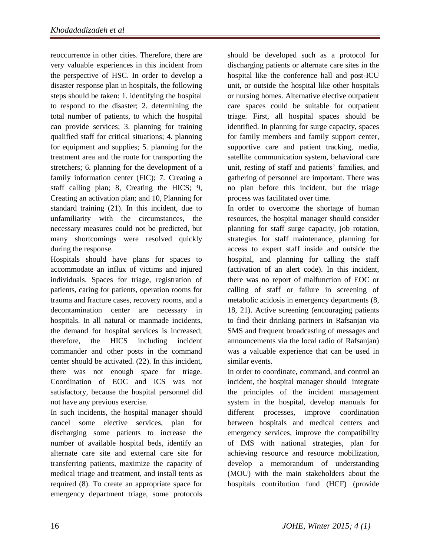reoccurrence in other cities. Therefore, there are very valuable experiences in this incident from the perspective of HSC. In order to develop a disaster response plan in hospitals, the following steps should be taken: 1. identifying the hospital to respond to the disaster; 2. determining the total number of patients, to which the hospital can provide services; 3. planning for training qualified staff for critical situations; 4. planning for equipment and supplies; 5. planning for the treatment area and the route for transporting the stretchers; 6. planning for the development of a family information center (FIC); 7. Creating a staff calling plan; 8, Creating the HICS; 9, Creating an activation plan; and 10, Planning for standard training (21). In this incident, due to unfamiliarity with the circumstances, the necessary measures could not be predicted, but many shortcomings were resolved quickly during the response.

Hospitals should have plans for spaces to accommodate an influx of victims and injured individuals. Spaces for triage, registration of patients, caring for patients, operation rooms for trauma and fracture cases, recovery rooms, and a decontamination center are necessary in hospitals. In all natural or manmade incidents, the demand for hospital services is increased; therefore, the HICS including incident commander and other posts in the command center should be activated. (22). In this incident, there was not enough space for triage. Coordination of EOC and ICS was not satisfactory, because the hospital personnel did not have any previous exercise.

In such incidents, the hospital manager should cancel some elective services, plan for discharging some patients to increase the number of available hospital beds, identify an alternate care site and external care site for transferring patients, maximize the capacity of medical triage and treatment, and install tents as required (8). To create an appropriate space for emergency department triage, some protocols

should be developed such as a protocol for discharging patients or alternate care sites in the hospital like the conference hall and post-ICU unit, or outside the hospital like other hospitals or nursing homes. Alternative elective outpatient care spaces could be suitable for outpatient triage. First, all hospital spaces should be identified. In planning for surge capacity, spaces for family members and family support center, supportive care and patient tracking, media, satellite communication system, behavioral care unit, resting of staff and patients' families, and gathering of personnel are important. There was no plan before this incident, but the triage process was facilitated over time.

In order to overcome the shortage of human resources, the hospital manager should consider planning for staff surge capacity, job rotation, strategies for staff maintenance, planning for access to expert staff inside and outside the hospital, and planning for calling the staff (activation of an alert code). In this incident, there was no report of malfunction of EOC or calling of staff or failure in screening of metabolic acidosis in emergency departments (8, 18, 21). Active screening (encouraging patients to find their drinking partners in Rafsanjan via SMS and frequent broadcasting of messages and announcements via the local radio of Rafsanjan) was a valuable experience that can be used in similar events.

In order to coordinate, command, and control an incident, the hospital manager should integrate the principles of the incident management system in the hospital, develop manuals for different processes, improve coordination between hospitals and medical centers and emergency services, improve the compatibility of IMS with national strategies, plan for achieving resource and resource mobilization, develop a memorandum of understanding (MOU) with the main stakeholders about the hospitals contribution fund (HCF) (provide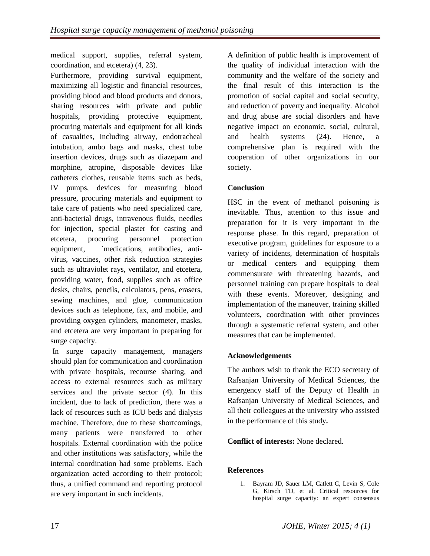medical support, supplies, referral system, coordination, and etcetera) (4, 23).

Furthermore, providing survival equipment, maximizing all logistic and financial resources, providing blood and blood products and donors, sharing resources with private and public hospitals, providing protective equipment, procuring materials and equipment for all kinds of casualties, including airway, endotracheal intubation, ambo bags and masks, chest tube insertion devices, drugs such as diazepam and morphine, atropine, disposable devices like catheters clothes, reusable items such as beds, IV pumps, devices for measuring blood pressure, procuring materials and equipment to take care of patients who need specialized care, anti-bacterial drugs, intravenous fluids, needles for injection, special plaster for casting and etcetera, procuring personnel protection equipment, `medications, antibodies, antivirus, vaccines, other risk reduction strategies such as ultraviolet rays, ventilator, and etcetera, providing water, food, supplies such as office desks, chairs, pencils, calculators, pens, erasers, sewing machines, and glue, communication devices such as telephone, fax, and mobile, and providing oxygen cylinders, manometer, masks, and etcetera are very important in preparing for surge capacity.

In surge capacity management, managers should plan for communication and coordination with private hospitals, recourse sharing, and access to external resources such as military services and the private sector (4). In this incident, due to lack of prediction, there was a lack of resources such as ICU beds and dialysis machine. Therefore, due to these shortcomings, many patients were transferred to other hospitals. External coordination with the police and other institutions was satisfactory, while the internal coordination had some problems. Each organization acted according to their protocol; thus, a unified command and reporting protocol are very important in such incidents.

A definition of public health is improvement of the quality of individual interaction with the community and the welfare of the society and the final result of this interaction is the promotion of social capital and social security, and reduction of poverty and inequality. Alcohol and drug abuse are social disorders and have negative impact on economic, social, cultural, and health systems (24). Hence, a comprehensive plan is required with the cooperation of other organizations in our society.

# **Conclusion**

HSC in the event of methanol poisoning is inevitable. Thus, attention to this issue and preparation for it is very important in the response phase. In this regard, preparation of executive program, guidelines for exposure to a variety of incidents, determination of hospitals or medical centers and equipping them commensurate with threatening hazards, and personnel training can prepare hospitals to deal with these events. Moreover, designing and implementation of the maneuver, training skilled volunteers, coordination with other provinces through a systematic referral system, and other measures that can be implemented.

# **Acknowledgements**

The authors wish to thank the ECO secretary of Rafsanjan University of Medical Sciences, the emergency staff of the Deputy of Health in Rafsanjan University of Medical Sciences, and all their colleagues at the university who assisted in the performance of this study**.**

# **Conflict of interests:** None declared.

# **References**

1. Bayram JD, Sauer LM, Catlett C, Levin S, Cole G, Kirsch TD, et al. Critical resources for hospital surge capacity: an expert consensus